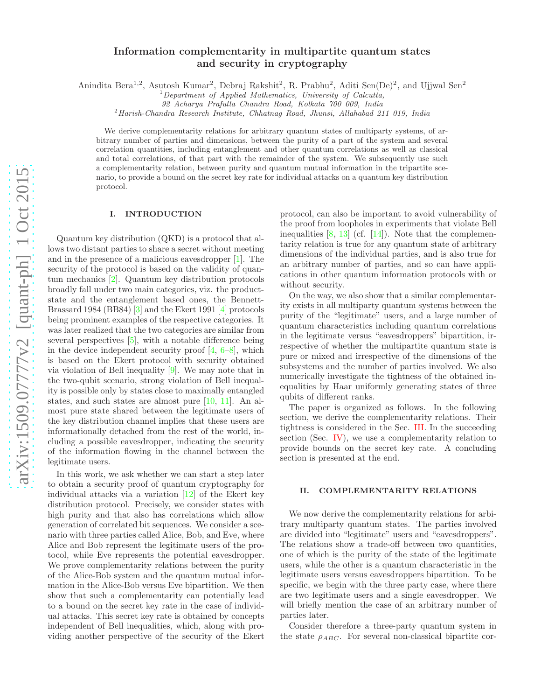# Information complementarity in multipartite quantum states and security in cryptography

Anindita Bera<sup>1,2</sup>, Asutosh Kumar<sup>2</sup>, Debraj Rakshit<sup>2</sup>, R. Prabhu<sup>2</sup>, Aditi Sen(De)<sup>2</sup>, and Ujjwal Sen<sup>2</sup>

 $1$  Department of Applied Mathematics, University of Calcutta,

92 Acharya Prafulla Chandra Road, Kolkata 700 009, India

<sup>2</sup>Harish-Chandra Research Institute, Chhatnag Road, Jhunsi, Allahabad 211 019, India

We derive complementarity relations for arbitrary quantum states of multiparty systems, of arbitrary number of parties and dimensions, between the purity of a part of the system and several correlation quantities, including entanglement and other quantum correlations as well as classical and total correlations, of that part with the remainder of the system. We subsequently use such a complementarity relation, between purity and quantum mutual information in the tripartite scenario, to provide a bound on the secret key rate for individual attacks on a quantum key distribution protocol.

### I. INTRODUCTION

Quantum key distribution (QKD) is a protocol that allows two distant parties to share a secret without meeting and in the presence of a malicious eavesdropper [\[1](#page-5-0)]. The security of the protocol is based on the validity of quantum mechanics [\[2\]](#page-5-1). Quantum key distribution protocols broadly fall under two main categories, viz. the productstate and the entanglement based ones, the Bennett-Brassard 1984 (BB84) [\[3\]](#page-5-2) and the Ekert 1991 [\[4](#page-5-3)] protocols being prominent examples of the respective categories. It was later realized that the two categories are similar from several perspectives [\[5\]](#page-5-4), with a notable difference being in the device independent security proof  $[4, 6-8]$  $[4, 6-8]$  $[4, 6-8]$ , which is based on the Ekert protocol with security obtained via violation of Bell inequality [\[9\]](#page-5-7). We may note that in the two-qubit scenario, strong violation of Bell inequality is possible only by states close to maximally entangled states, and such states are almost pure [\[10](#page-5-8), [11\]](#page-5-9). An almost pure state shared between the legitimate users of the key distribution channel implies that these users are informationally detached from the rest of the world, including a possible eavesdropper, indicating the security of the information flowing in the channel between the legitimate users.

In this work, we ask whether we can start a step later to obtain a security proof of quantum cryptography for individual attacks via a variation [\[12\]](#page-5-10) of the Ekert key distribution protocol. Precisely, we consider states with high purity and that also has correlations which allow generation of correlated bit sequences. We consider a scenario with three parties called Alice, Bob, and Eve, where Alice and Bob represent the legitimate users of the protocol, while Eve represents the potential eavesdropper. We prove complementarity relations between the purity of the Alice-Bob system and the quantum mutual information in the Alice-Bob versus Eve bipartition. We then show that such a complementarity can potentially lead to a bound on the secret key rate in the case of individual attacks. This secret key rate is obtained by concepts independent of Bell inequalities, which, along with providing another perspective of the security of the Ekert

protocol, can also be important to avoid vulnerability of the proof from loopholes in experiments that violate Bell inequalities  $[8, 13]$  $[8, 13]$  (cf.  $[14]$ ). Note that the complementarity relation is true for any quantum state of arbitrary dimensions of the individual parties, and is also true for an arbitrary number of parties, and so can have applications in other quantum information protocols with or without security.

On the way, we also show that a similar complementarity exists in all multiparty quantum systems between the purity of the "legitimate" users, and a large number of quantum characteristics including quantum correlations in the legitimate versus "eavesdroppers" bipartition, irrespective of whether the multipartite quantum state is pure or mixed and irrespective of the dimensions of the subsystems and the number of parties involved. We also numerically investigate the tightness of the obtained inequalities by Haar uniformly generating states of three qubits of different ranks.

The paper is organized as follows. In the following section, we derive the complementarity relations. Their tightness is considered in the Sec. [III.](#page-3-0) In the succeeding section (Sec. [IV\)](#page-4-0), we use a complementarity relation to provide bounds on the secret key rate. A concluding section is presented at the end.

### <span id="page-0-0"></span>II. COMPLEMENTARITY RELATIONS

We now derive the complementarity relations for arbitrary multiparty quantum states. The parties involved are divided into "legitimate" users and "eavesdroppers". The relations show a trade-off between two quantities, one of which is the purity of the state of the legitimate users, while the other is a quantum characteristic in the legitimate users versus eavesdroppers bipartition. To be specific, we begin with the three party case, where there are two legitimate users and a single eavesdropper. We will briefly mention the case of an arbitrary number of parties later.

Consider therefore a three-party quantum system in the state  $\rho_{ABC}$ . For several non-classical bipartite cor-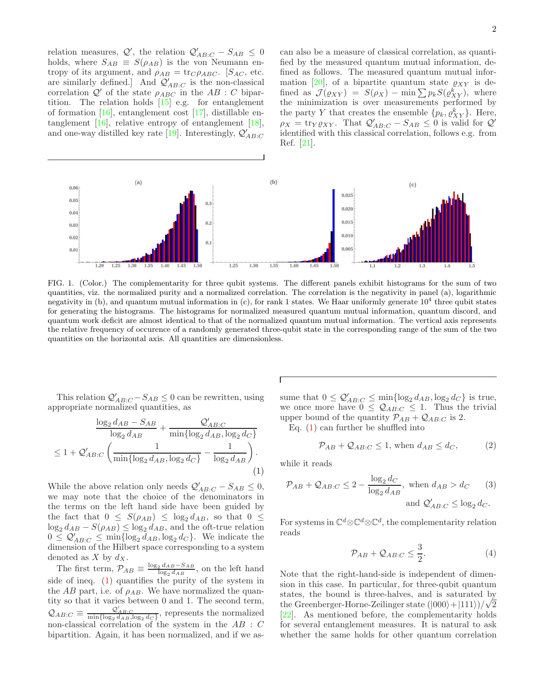relation measures,  $Q'$ , the relation  $Q'_{AB:C} - S_{AB} \leq 0$ holds, where  $S_{AB} \equiv S(\rho_{AB})$  is the von Neumann entropy of its argument, and  $\rho_{AB} = \text{tr}_{C} \rho_{ABC}$ . [S<sub>AC</sub>, etc. are similarly defined. And  $\mathcal{Q}'_{AB:C}$  is the non-classical correlation  $\mathcal{Q}'$  of the state  $\rho_{ABC}$  in the  $AB : C$  bipartition. The relation holds [\[15\]](#page-5-13) e.g. for entanglement of formation [\[16\]](#page-5-14), entanglement cost [\[17](#page-5-15)], distillable entanglement  $[16]$ , relative entropy of entanglement  $[18]$ , and one-way distilled key rate [\[19](#page-5-17)]. Interestingly,  $\mathcal{Q}_{AB:C}'$ 

can also be a measure of classical correlation, as quantified by the measured quantum mutual information, defined as follows. The measured quantum mutual infor-mation [\[20](#page-5-18)], of a bipartite quantum state  $\rho_{XY}$  is defined as  $\mathcal{J}(\varrho_{XY}) = S(\rho_X) - \min \sum p_k S(\varrho_{XY}^k)$ , where the minimization is over measurements performed by the party Y that creates the ensemble  $\{p_k, \varrho_{XY}^k\}$ . Here,  $\rho_X = \text{tr}_Y \varrho_{XY}$ . That  $\mathcal{Q}'_{AB:C} - S_{AB} \leq 0$  is valid for  $\mathcal{Q}'$ identified with this classical correlation, follows e.g. from Ref. [\[21\]](#page-5-19).



<span id="page-1-3"></span>FIG. 1. (Color.) The complementarity for three qubit systems. The different panels exhibit histograms for the sum of two quantities, viz. the normalized purity and a normalized correlation. The correlation is the negativity in panel (a), logarithmic negativity in (b), and quantum mutual information in (c), for rank 1 states. We Haar uniformly generate  $10^4$  three qubit states for generating the histograms. The histograms for normalized measured quantum mutual information, quantum discord, and quantum work deficit are almost identical to that of the normalized quantum mutual information. The vertical axis represents the relative frequency of occurence of a randomly generated three-qubit state in the corresponding range of the sum of the two quantities on the horizontal axis. All quantities are dimensionless.

This relation  $Q'_{AB:C} - S_{AB} \leq 0$  can be rewritten, using appropriate normalized quantities, as

<span id="page-1-0"></span>
$$
\frac{\log_2 d_{AB} - S_{AB}}{\log_2 d_{AB}} + \frac{\mathcal{Q}'_{AB:C}}{\min\{\log_2 d_{AB}, \log_2 d_{C}\}}
$$
  

$$
\leq 1 + \mathcal{Q}'_{AB:C} \left( \frac{1}{\min\{\log_2 d_{AB}, \log_2 d_{C}\}} - \frac{1}{\log_2 d_{AB}} \right). \tag{1}
$$

While the above relation only needs  $\mathcal{Q}'_{AB:C} - S_{AB} \leq 0$ , we may note that the choice of the denominators in the terms on the left hand side have been guided by the fact that  $0 \leq S(\rho_{AB}) \leq \log_2 d_{AB}$ , so that  $0 \leq$  $\log_2 d_{AB} - S(\rho_{AB}) \leq \log_2 d_{AB}$ , and the oft-true relation  $0 \leq \mathcal{Q}_{AB:C}' \leq \min\{\log_2 d_{AB}, \log_2 d_C\}.$  We indicate the dimension of the Hilbert space corresponding to a system denoted as X by  $d_X$ .

The first term,  $\mathcal{P}_{AB} \equiv \frac{\log_2 d_{AB} - S_{AB}}{\log_2 d_{AB}}$ , on the left hand side of ineq. [\(1\)](#page-1-0) quantifies the purity of the system in the AB part, i.e. of  $\rho_{AB}$ . We have normalized the quantity so that it varies between 0 and 1. The second term,  $\mathcal{Q}_{AB:C} \equiv \frac{\mathcal{Q}'_{AB:C}}{\min\{\log_2 d_{AB}, \log_2 d_C\}},$  represents the normalized non-classical correlation of the system in the AB : C bipartition. Again, it has been normalized, and if we as-

sume that  $0 \leq Q'_{AB:C} \leq \min\{\log_2 d_{AB}, \log_2 d_C\}$  is true, we once more have  $0 \leq Q_{AB:C} \leq 1$ . Thus the trivial upper bound of the quantity  $\mathcal{P}_{AB} + \mathcal{Q}_{AB:C}$  is 2.

Eq.  $(1)$  can further be shuffled into

<span id="page-1-1"></span>
$$
\mathcal{P}_{AB} + \mathcal{Q}_{AB:C} \le 1, \text{ when } d_{AB} \le d_C, \tag{2}
$$

while it reads

$$
\mathcal{P}_{AB} + \mathcal{Q}_{AB:C} \le 2 - \frac{\log_2 d_C}{\log_2 d_{AB}}, \text{ when } d_{AB} > d_C \qquad (3)
$$
  
and  $\mathcal{Q}'_{AB:C} \le \log_2 d_C.$ 

For systems in  $\mathbb{C}^d \otimes \mathbb{C}^d \otimes \mathbb{C}^d$ , the complementarity relation reads

<span id="page-1-4"></span><span id="page-1-2"></span>
$$
\mathcal{P}_{AB} + \mathcal{Q}_{AB:C} \le \frac{3}{2}.\tag{4}
$$

Note that the right-hand-side is independent of dimension in this case. In particular, for three-qubit quantum states, the bound is three-halves, and is saturated by the Greenberger-Horne-Zeilinger state  $(|000\rangle + |111\rangle)/\sqrt{2}$ [\[22\]](#page-5-20). As mentioned before, the complementarity holds for several entanglement measures. It is natural to ask whether the same holds for other quantum correlation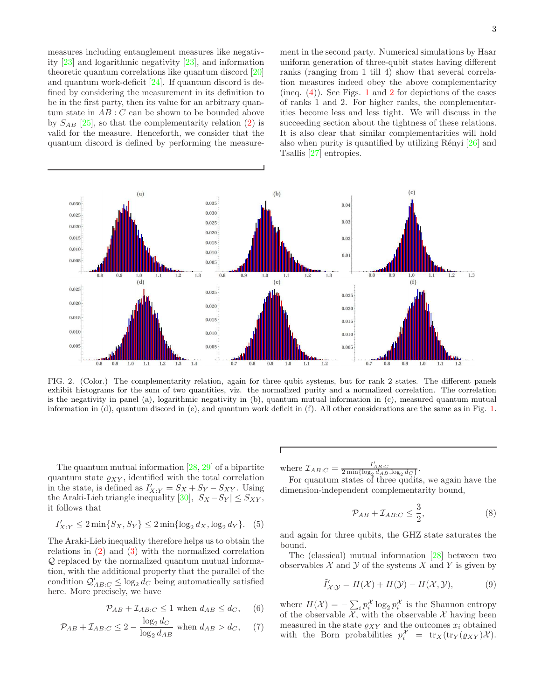measures including entanglement measures like negativity [\[23\]](#page-5-21) and logarithmic negativity [\[23\]](#page-5-21), and information theoretic quantum correlations like quantum discord [\[20](#page-5-18)] and quantum work-deficit [\[24](#page-5-22)]. If quantum discord is defined by considering the measurement in its definition to be in the first party, then its value for an arbitrary quantum state in  $AB : C$  can be shown to be bounded above by  $S_{AB}$  [\[25](#page-5-23)], so that the complementarity relation [\(2\)](#page-1-1) is valid for the measure. Henceforth, we consider that the quantum discord is defined by performing the measurement in the second party. Numerical simulations by Haar uniform generation of three-qubit states having different ranks (ranging from 1 till 4) show that several correlation measures indeed obey the above complementarity (ineq.  $(4)$ ). See Figs. [1](#page-1-3) and [2](#page-2-0) for depictions of the cases of ranks 1 and 2. For higher ranks, the complementarities become less and less tight. We will discuss in the succeeding section about the tightness of these relations. It is also clear that similar complementarities will hold also when purity is quantified by utilizing Rényi  $[26]$  and Tsallis [\[27\]](#page-5-25) entropies.



<span id="page-2-0"></span>FIG. 2. (Color.) The complementarity relation, again for three qubit systems, but for rank 2 states. The different panels exhibit histograms for the sum of two quantities, viz. the normalized purity and a normalized correlation. The correlation is the negativity in panel (a), logarithmic negativity in (b), quantum mutual information in (c), measured quantum mutual information in (d), quantum discord in (e), and quantum work deficit in (f). All other considerations are the same as in Fig. [1.](#page-1-3)

The quantum mutual information [\[28,](#page-5-26) [29\]](#page-5-27) of a bipartite quantum state  $\varrho_{XY}$ , identified with the total correlation in the state, is defined as  $I'_{X:Y} = S_X + S_Y - S_{XY}$ . Using the Araki-Lieb triangle inequality [\[30\]](#page-6-0),  $|S_X - S_Y| \leq S_{XY}$ , it follows that

$$
I'_{X:Y} \le 2\min\{S_X, S_Y\} \le 2\min\{\log_2 d_X, \log_2 d_Y\}.
$$
 (5)

The Araki-Lieb inequality therefore helps us to obtain the relations in [\(2\)](#page-1-1) and [\(3\)](#page-1-4) with the normalized correlation Q replaced by the normalized quantum mutual information, with the additional property that the parallel of the condition  $\mathcal{Q}'_{AB:C} \leq \log_2 d_C$  being automatically satisfied here. More precisely, we have

$$
\mathcal{P}_{AB} + \mathcal{I}_{AB:C} \le 1 \text{ when } d_{AB} \le d_C, \quad (6)
$$

$$
\mathcal{P}_{AB} + \mathcal{I}_{AB:C} \le 2 - \frac{\log_2 d_C}{\log_2 d_{AB}} \text{ when } d_{AB} > d_C, \quad (7)
$$

where  $\mathcal{I}_{AB:C} = \frac{I'_{AB:C}}{2 \min\{\log_2 d_{AB}, \log_2 d_C\}}$ .

For quantum states of three qudits, we again have the dimension-independent complementarity bound,

$$
\mathcal{P}_{AB} + \mathcal{I}_{AB:C} \le \frac{3}{2},\tag{8}
$$

and again for three qubits, the GHZ state saturates the bound.

The (classical) mutual information [\[28\]](#page-5-26) between two observables  $\mathcal X$  and  $\mathcal Y$  of the systems  $X$  and  $Y$  is given by

$$
\tilde{I}'_{\mathcal{X}:\mathcal{Y}} = H(\mathcal{X}) + H(\mathcal{Y}) - H(\mathcal{X}, \mathcal{Y}),\tag{9}
$$

<span id="page-2-2"></span><span id="page-2-1"></span>where  $H(\mathcal{X}) = -\sum_i p_i^{\mathcal{X}} \log_2 p_i^{\mathcal{X}}$  is the Shannon entropy of the observable  $\overline{\mathcal{X}}$ , with the observable  $\mathcal X$  having been measured in the state  $\varrho_{XY}$  and the outcomes  $x_i$  obtained with the Born probabilities  $p_i^{\mathcal{X}} = \text{tr}_X(\text{tr}_Y(\varrho_{XY})\mathcal{X}).$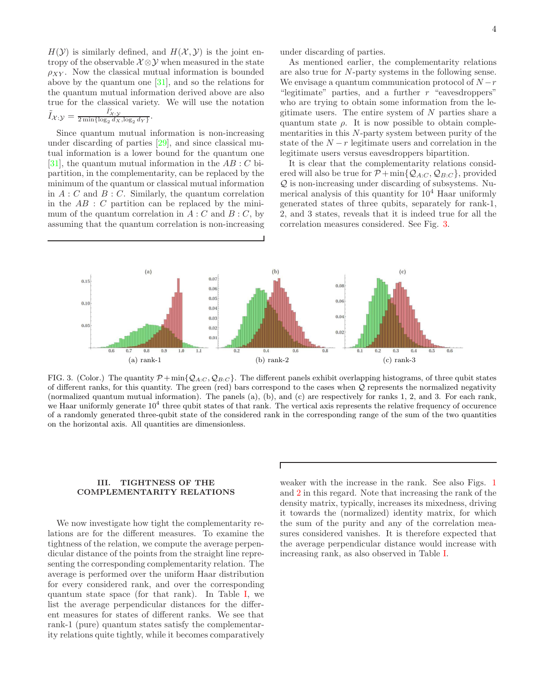$H(Y)$  is similarly defined, and  $H(X, Y)$  is the joint entropy of the observable  $\mathcal{X} \otimes \mathcal{Y}$  when measured in the state  $\rho_{XY}$ . Now the classical mutual information is bounded above by the quantum one  $[31]$ , and so the relations for the quantum mutual information derived above are also true for the classical variety. We will use the notation  $\widetilde{I}_{\mathcal{X}:\mathcal{Y}} = \frac{\widetilde{I}'_{\mathcal{X}:\mathcal{Y}}}{2\min\{\log_2 d_X, \log_2 d_Y\}}$ .

Since quantum mutual information is non-increasing under discarding of parties [\[29\]](#page-5-27), and since classical mutual information is a lower bound for the quantum one [\[31\]](#page-6-1), the quantum mutual information in the  $AB : C$  bipartition, in the complementarity, can be replaced by the minimum of the quantum or classical mutual information in  $A: C$  and  $B: C$ . Similarly, the quantum correlation in the  $AB : C$  partition can be replaced by the minimum of the quantum correlation in  $A : C$  and  $B : C$ , by assuming that the quantum correlation is non-increasing

under discarding of parties.

As mentioned earlier, the complementarity relations are also true for N-party systems in the following sense. We envisage a quantum communication protocol of  $N-r$ "legitimate" parties, and a further  $r$  "eavesdroppers" who are trying to obtain some information from the legitimate users. The entire system of  $N$  parties share a quantum state  $\rho$ . It is now possible to obtain complementarities in this N-party system between purity of the state of the  $N - r$  legitimate users and correlation in the legitimate users versus eavesdroppers bipartition.

It is clear that the complementarity relations considered will also be true for  $P + min\{Q_{A:C}, Q_{B:C}\}$ , provided Q is non-increasing under discarding of subsystems. Numerical analysis of this quantity for  $10<sup>4</sup>$  Haar uniformly generated states of three qubits, separately for rank-1, 2, and 3 states, reveals that it is indeed true for all the correlation measures considered. See Fig. [3.](#page-3-1)



<span id="page-3-1"></span>FIG. 3. (Color.) The quantity  $\mathcal{P} + \min\{Q_{A:C}, Q_{B:C}\}\$ . The different panels exhibit overlapping histograms, of three qubit states of different ranks, for this quantity. The green (red) bars correspond to the cases when Q represents the normalized negativity (normalized quantum mutual information). The panels (a), (b), and (c) are respectively for ranks 1, 2, and 3. For each rank, we Haar uniformly generate 10<sup>4</sup> three qubit states of that rank. The vertical axis represents the relative frequency of occurence of a randomly generated three-qubit state of the considered rank in the corresponding range of the sum of the two quantities on the horizontal axis. All quantities are dimensionless.

# <span id="page-3-0"></span>III. TIGHTNESS OF THE COMPLEMENTARITY RELATIONS

We now investigate how tight the complementarity relations are for the different measures. To examine the tightness of the relation, we compute the average perpendicular distance of the points from the straight line representing the corresponding complementarity relation. The average is performed over the uniform Haar distribution for every considered rank, and over the corresponding quantum state space (for that rank). In Table [I,](#page-4-1) we list the average perpendicular distances for the different measures for states of different ranks. We see that rank-1 (pure) quantum states satisfy the complementarity relations quite tightly, while it becomes comparatively

weaker with the increase in the rank. See also Figs. [1](#page-1-3) and [2](#page-2-0) in this regard. Note that increasing the rank of the density matrix, typically, increases its mixedness, driving it towards the (normalized) identity matrix, for which the sum of the purity and any of the correlation measures considered vanishes. It is therefore expected that the average perpendicular distance would increase with increasing rank, as also observed in Table [I.](#page-4-1)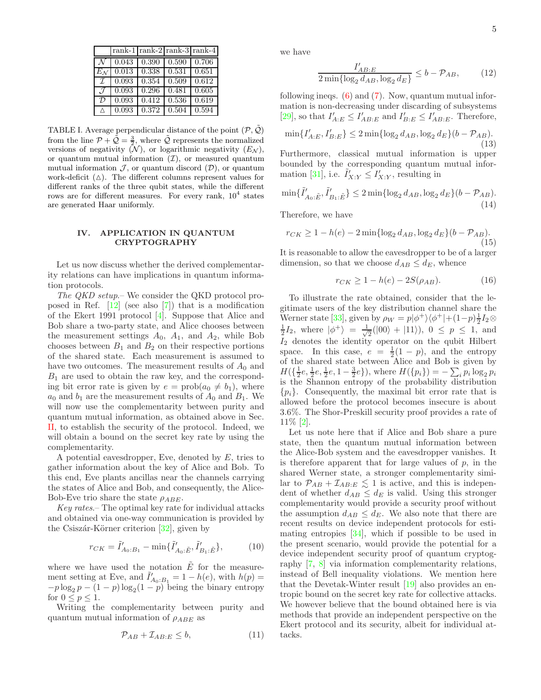|               |       | rank-1 $\lfloor$ rank-2 $\lfloor$ rank-3 $\lfloor$ rank-4 |       |       |
|---------------|-------|-----------------------------------------------------------|-------|-------|
|               | 0.043 | 0.390                                                     | 0.590 | 0.706 |
| $E_N$         | 0.013 | 0.338                                                     | 0.531 | 0.651 |
| $\mathcal I$  | 0.093 | 0.354                                                     | 0.509 | 0.612 |
| . T           | 0.093 | 0.296                                                     | 0.481 | 0.605 |
| $\mathcal{D}$ | 0.093 | 0.412                                                     | 0.536 | 0.619 |
|               | 0.093 | 0.372                                                     | 0.504 | 0.594 |

<span id="page-4-1"></span>TABLE I. Average perpendicular distance of the point  $(\mathcal{P}, \tilde{\mathcal{Q}})$ from the line  $\mathcal{P} + \tilde{\mathcal{Q}} = \frac{3}{2}$ , where  $\tilde{\mathcal{Q}}$  represents the normalized versions of negativity  $(N)$ , or logarithmic negativity  $(E_N)$ , or quantum mutual information  $(\mathcal{I})$ , or measured quantum mutual information  $\mathcal J$ , or quantum discord  $(\mathcal D)$ , or quantum work-deficit  $(\triangle)$ . The different columns represent values for different ranks of the three qubit states, while the different rows are for different measures. For every rank,  $10^4$  states are generated Haar uniformly.

# <span id="page-4-0"></span>IV. APPLICATION IN QUANTUM CRYPTOGRAPHY

Let us now discuss whether the derived complementarity relations can have implications in quantum information protocols.

The QKD setup.– We consider the QKD protocol proposed in Ref.  $[12]$  (see also  $[7]$ ) that is a modification of the Ekert 1991 protocol [\[4](#page-5-3)]. Suppose that Alice and Bob share a two-party state, and Alice chooses between the measurement settings  $A_0$ ,  $A_1$ , and  $A_2$ , while Bob chooses between  $B_1$  and  $B_2$  on their respective portions of the shared state. Each measurement is assumed to have two outcomes. The measurement results of  $A_0$  and  $B_1$  are used to obtain the raw key, and the corresponding bit error rate is given by  $e = prob(a_0 \neq b_1)$ , where  $a_0$  and  $b_1$  are the measurement results of  $A_0$  and  $B_1$ . We will now use the complementarity between purity and quantum mutual information, as obtained above in Sec. [II,](#page-0-0) to establish the security of the protocol. Indeed, we will obtain a bound on the secret key rate by using the complementarity.

A potential eavesdropper, Eve, denoted by  $E$ , tries to gather information about the key of Alice and Bob. To this end, Eve plants ancillas near the channels carrying the states of Alice and Bob, and consequently, the Alice-Bob-Eve trio share the state  $\rho_{ABE}$ .

Key rates.– The optimal key rate for individual attacks and obtained via one-way communication is provided by the Csiszár-Körner criterion  $[32]$ , given by

$$
r_{CK} = \tilde{I}'_{A_0:B_1} - \min{\{\tilde{I}'_{A_0:\tilde{E}}, \tilde{I}'_{B_1:\tilde{E}}\}},\tag{10}
$$

where we have used the notation  $\tilde{E}$  for the measurement setting at Eve, and  $\tilde{I}'_{A_0:B_1} = 1 - h(e)$ , with  $h(p) =$  $-p \log_2 p - (1-p) \log_2 (1-p)$  being the binary entropy for  $0 \leq p \leq 1$ .

Writing the complementarity between purity and quantum mutual information of  $\rho_{ABE}$  as

$$
\mathcal{P}_{AB} + \mathcal{I}_{AB:E} \le b,\tag{11}
$$

we have

$$
\frac{I'_{AB:E}}{2\min\{\log_2 d_{AB}, \log_2 d_E\}} \le b - \mathcal{P}_{AB},\qquad(12)
$$

following ineqs.  $(6)$  and  $(7)$ . Now, quantum mutual information is non-decreasing under discarding of subsystems [\[29\]](#page-5-27), so that  $I'_{A:E} \leq I'_{AB:E}$  and  $I'_{B:E} \leq I'_{AB:E}$ . Therefore,

$$
\min\{I'_{A:E}, I'_{B:E}\} \le 2\min\{\log_2 d_{AB}, \log_2 d_E\}(b - \mathcal{P}_{AB}).
$$
\n(13)

Furthermore, classical mutual information is upper bounded by the corresponding quantum mutual infor-mation [\[31\]](#page-6-1), i.e.  $\tilde{I}'_{X:Y} \leq I'_{X:Y}$ , resulting in

$$
\min\{\tilde{I}_{A_0:\tilde{E}}, \tilde{I}_{B_1:\tilde{E}}'\} \le 2 \min\{\log_2 d_{AB}, \log_2 d_E\} (b - \mathcal{P}_{AB}).
$$
\n(14)

Therefore, we have

$$
r_{CK} \ge 1 - h(e) - 2 \min\{\log_2 d_{AB}, \log_2 d_E\}(b - \mathcal{P}_{AB}).
$$
\n(15)

It is reasonable to allow the eavesdropper to be of a larger dimension, so that we choose  $d_{AB} \leq d_E$ , whence

$$
r_{CK} \ge 1 - h(e) - 2S(\rho_{AB}).\tag{16}
$$

To illustrate the rate obtained, consider that the legitimate users of the key distribution channel share the Werner state [\[33](#page-6-3)], given by  $\rho_W = p|\phi^+\rangle\langle\phi^+|+(1-p)\frac{1}{2}I_2\otimes$  $\frac{1}{2}I_2$ , where  $|\phi^+\rangle = \frac{1}{\sqrt{2}}$  $\frac{1}{2}(|00\rangle + |11\rangle), 0 \le p \le 1, \text{ and}$  $I_2$  denotes the identity operator on the qubit Hilbert space. In this case,  $e = \frac{1}{2}(1-p)$ , and the entropy of the shared state between Alice and Bob is given by  $H(\{\frac{1}{2}e, \frac{1}{2}e, \frac{1}{2}e, 1-\frac{3}{2}e\}),$  where  $H(\{p_i\}) = -\sum_i p_i \log_2 p_i$ is the Shannon entropy of the probability distribution  $\{p_i\}$ . Consequently, the maximal bit error rate that is allowed before the protocol becomes insecure is about 3.6%. The Shor-Preskill security proof provides a rate of 11% [\[2](#page-5-1)].

Let us note here that if Alice and Bob share a pure state, then the quantum mutual information between the Alice-Bob system and the eavesdropper vanishes. It is therefore apparent that for large values of  $p$ , in the shared Werner state, a stronger complementarity similar to  $\mathcal{P}_{AB} + \mathcal{I}_{AB:E} \leq 1$  is active, and this is independent of whether  $d_{AB} \leq d_E$  is valid. Using this stronger complementarity would provide a security proof without the assumption  $d_{AB} \leq d_E$ . We also note that there are recent results on device independent protocols for estimating entropies [\[34](#page-6-4)], which if possible to be used in the present scenario, would provide the potential for a device independent security proof of quantum cryptography [\[7](#page-5-28), [8\]](#page-5-6) via information complementarity relations, instead of Bell inequality violations. We mention here that the Devetak-Winter result [\[19](#page-5-17)] also provides an entropic bound on the secret key rate for collective attacks. We however believe that the bound obtained here is via methods that provide an independent perspective on the Ekert protocol and its security, albeit for individual attacks.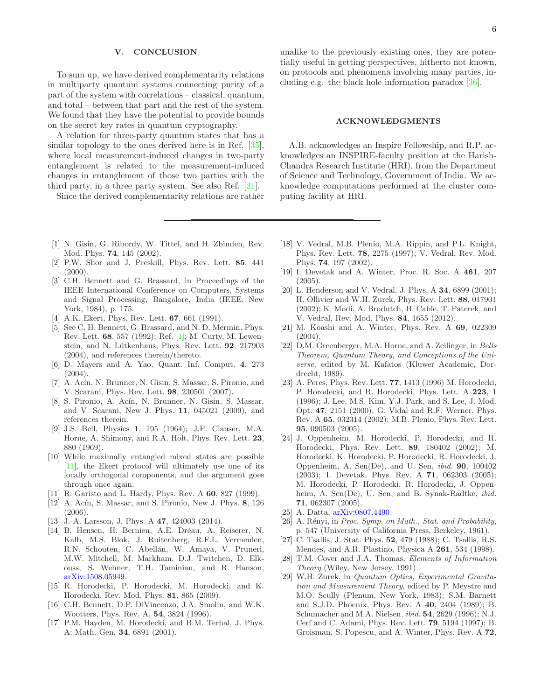## V. CONCLUSION

To sum up, we have derived complementarity relations in multiparty quantum systems connecting purity of a part of the system with correlations – classical, quantum, and total – between that part and the rest of the system. We found that they have the potential to provide bounds on the secret key rates in quantum cryptography.

A relation for three-party quantum states that has a similar topology to the ones derived here is in Ref. [\[35\]](#page-6-5), where local measurement-induced changes in two-party entanglement is related to the measurement-induced changes in entanglement of those two parties with the third party, in a three party system. See also Ref. [\[21\]](#page-5-19).

Since the derived complementarity relations are rather

unalike to the previously existing ones, they are potentially useful in getting perspectives, hitherto not known, on protocols and phenomena involving many parties, including e.g. the black hole information paradox [\[36](#page-6-6)].

### ACKNOWLEDGMENTS

A.B. acknowledges an Inspire Fellowship, and R.P. acknowledges an INSPIRE-faculty position at the Harish-Chandra Research Institute (HRI), from the Department of Science and Technology, Government of India. We acknowledge computations performed at the cluster computing facility at HRI.

- <span id="page-5-0"></span>[1] N. Gisin, G. Ribordy, W. Tittel, and H. Zbinden, Rev. Mod. Phys. 74, 145 (2002).
- <span id="page-5-1"></span>[2] P.W. Shor and J. Preskill, Phys. Rev. Lett. 85, 441  $(2000).$
- <span id="page-5-2"></span>[3] C.H. Bennett and G. Brassard, in Proceedings of the IEEE International Conference on Computers, Systems and Signal Processing, Bangalore, India (IEEE, New York, 1984), p. 175.
- <span id="page-5-3"></span>[4] A.K. Ekert, Phys. Rev. Lett. **67**, 661 (1991).
- <span id="page-5-4"></span>[5] See C. H. Bennett, G. Brassard, and N. D. Mermin, Phys. Rev. Lett. 68, 557 (1992); Ref. [\[1](#page-5-0)]; M. Curty, M. Lewenstein, and N. Lütkenhaus, Phys. Rev. Lett. 92, 217903 (2004), and references therein/thereto.
- <span id="page-5-5"></span>[6] D. Mayers and A. Yao, Quant. Inf. Comput. 4, 273 (2004).
- <span id="page-5-28"></span>[7] A. Acín, N. Brunner, N. Gisin, S. Massar, S. Pironio, and V. Scarani, Phys. Rev. Lett. 98, 230501 (2007).
- <span id="page-5-6"></span>[8] S. Pironio, A. Acín, N. Brunner, N. Gisin, S. Massar, and V. Scarani, New J. Phys. 11, 045021 (2009), and references therein.
- <span id="page-5-7"></span>[9] J.S. Bell, Physics 1, 195 (1964); J.F. Clauser, M.A. Horne, A. Shimony, and R.A. Holt, Phys. Rev. Lett. 23, 880 (1969).
- <span id="page-5-8"></span>[10] While maximally entangled mixed states are possible [\[11](#page-5-9)], the Ekert protocol will ultimately use one of its locally orthogonal components, and the argument goes through once again.
- <span id="page-5-9"></span>[11] R. Garisto and L. Hardy, Phys. Rev. A 60, 827 (1999).
- <span id="page-5-10"></span>[12] A. Acín, S. Massar, and S. Pironio, New J. Phys.  $\mathbf{8}, 126$ (2006).
- <span id="page-5-11"></span>[13] J.-A. Larsson, J. Phys. A 47, 424003 (2014).
- <span id="page-5-12"></span>[14] B. Hensen, H. Bernien, A.E. Dréau, A. Reiserer, N. Kalb, M.S. Blok, J. Ruitenberg, R.F.L. Vermeulen, R.N. Schouten, C. Abellán, W. Amaya, V. Pruneri, M.W. Mitchell, M. Markham, D.J. Twitchen, D. Elkouss, S. Wehner, T.H. Taminiau, and R. Hanson, [arXiv:1508.05949.](http://arxiv.org/abs/1508.05949)
- <span id="page-5-13"></span>[15] R. Horodecki, P. Horodecki, M. Horodecki, and K. Horodecki, Rev. Mod. Phys. 81, 865 (2009).
- <span id="page-5-14"></span>[16] C.H. Bennett, D.P. DiVincenzo, J.A. Smolin, and W.K. Wootters, Phys. Rev. A, 54, 3824 (1996).
- <span id="page-5-15"></span>[17] P.M. Hayden, M. Horodecki, and B.M. Terhal, J. Phys. A: Math. Gen. 34, 6891 (2001).
- <span id="page-5-16"></span>[18] V. Vedral, M.B. Plenio, M.A. Rippin, and P.L. Knight, Phys. Rev. Lett. 78, 2275 (1997); V. Vedral, Rev. Mod. Phys. 74, 197 (2002).
- <span id="page-5-17"></span>[19] I. Devetak and A. Winter, Proc. R. Soc. A 461, 207 (2005).
- <span id="page-5-18"></span>[20] L. Henderson and V. Vedral, J. Phys. A **34**, 6899 (2001); H. Ollivier and W.H. Zurek, Phys. Rev. Lett. 88, 017901 (2002); K. Modi, A. Brodutch, H. Cable, T. Paterek, and V. Vedral, Rev. Mod. Phys. 84, 1655 (2012).
- <span id="page-5-19"></span>[21] M. Koashi and A. Winter, Phys. Rev. A 69, 022309 (2004).
- <span id="page-5-20"></span>[22] D.M. Greenberger, M.A. Horne, and A. Zeilinger, in Bells Theorem, Quantum Theory, and Conceptions of the Universe, edited by M. Kafatos (Kluwer Academic, Dordrecht, 1989).
- <span id="page-5-21"></span>[23] A. Peres, Phys. Rev. Lett. 77, 1413 (1996) M. Horodecki, P. Horodecki, and R. Horodecki, Phys. Lett. A 223, 1 (1996); J. Lee, M.S. Kim, Y.J. Park, and S. Lee, J. Mod. Opt. 47, 2151 (2000); G. Vidal and R.F. Werner, Phys. Rev. A 65, 032314 (2002); M.B. Plenio, Phys. Rev. Lett. 95, 090503 (2005).
- <span id="page-5-22"></span>[24] J. Oppenheim, M. Horodecki, P. Horodecki, and R. Horodecki, Phys. Rev. Lett. 89, 180402 (2002); M. Horodecki, K. Horodecki, P. Horodecki, R. Horodecki, J. Oppenheim, A. Sen(De), and U. Sen, ibid. 90, 100402 (2003); I. Devetak, Phys. Rev. A 71, 062303 (2005); M. Horodecki, P. Horodecki, R. Horodecki, J. Oppenheim, A. Sen(De), U. Sen, and B. Synak-Radtke, ibid. 71, 062307 (2005).
- <span id="page-5-23"></span>[25] A. Datta, [arXiv:0807.4490.](http://arxiv.org/abs/0807.4490)
- <span id="page-5-24"></span>[26] A. Rényi, in Proc. Symp. on Math., Stat. and Probability, p. 547 (University of California Press, Berkeley, 1961).
- <span id="page-5-25"></span>[27] C. Tsallis, J. Stat. Phys. 52, 479 (1988); C. Tsallis, R.S. Mendes, and A.R. Plastino, Physica A 261, 534 (1998).
- <span id="page-5-26"></span>[28] T.M. Cover and J.A. Thomas, Elements of Information Theory (Wiley, New Jersey, 1991).
- <span id="page-5-27"></span>[29] W.H. Zurek, in Quantum Optics, Experimental Gravitation and Measurement Theory, edited by P. Meystre and M.O. Scully (Plenum, New York, 1983); S.M. Barnett and S.J.D. Phoenix, Phys. Rev. A 40, 2404 (1989); B. Schumacher and M.A. Nielsen, ibid. 54, 2629 (1996); N.J. Cerf and C. Adami, Phys. Rev. Lett. 79, 5194 (1997); B. Groisman, S. Popescu, and A. Winter, Phys. Rev. A 72,